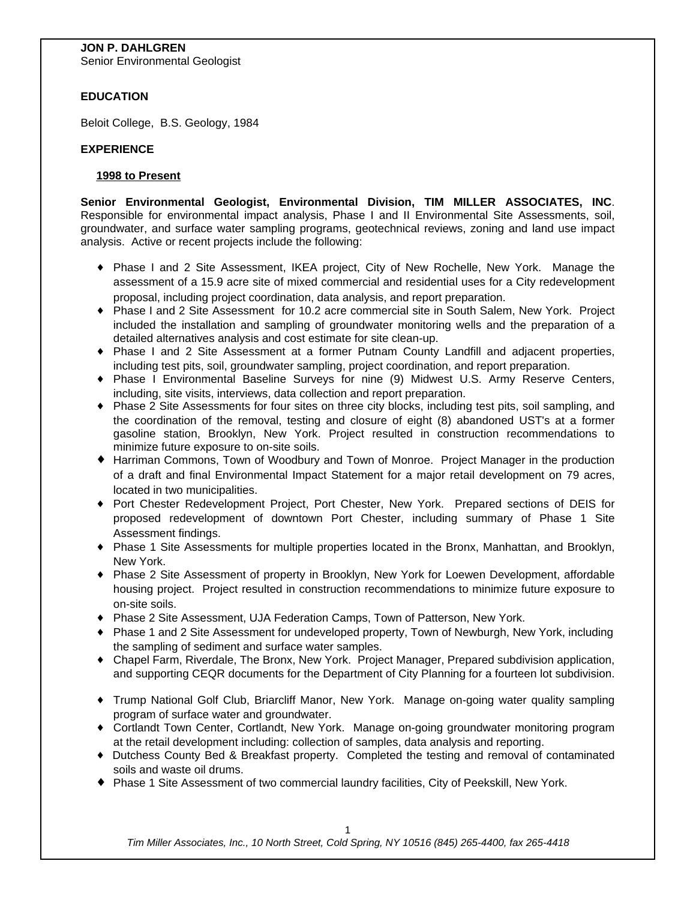## **JON P. DAHLGREN**

Senior Environmental Geologist

# **EDUCATION**

Beloit College, B.S. Geology, 1984

## **EXPERIENCE**

### **1998 to Present**

**Senior Environmental Geologist, Environmental Division, TIM MILLER ASSOCIATES, INC**. Responsible for environmental impact analysis, Phase I and II Environmental Site Assessments, soil, groundwater, and surface water sampling programs, geotechnical reviews, zoning and land use impact analysis. Active or recent projects include the following:

- { Phase I and 2 Site Assessment, IKEA project, City of New Rochelle, New York. Manage the assessment of a 15.9 acre site of mixed commercial and residential uses for a City redevelopment proposal, including project coordination, data analysis, and report preparation.
- { Phase I and 2 Site Assessment for 10.2 acre commercial site in South Salem, New York. Project included the installation and sampling of groundwater monitoring wells and the preparation of a detailed alternatives analysis and cost estimate for site clean-up.
- { Phase I and 2 Site Assessment at a former Putnam County Landfill and adjacent properties, including test pits, soil, groundwater sampling, project coordination, and report preparation.
- { Phase I Environmental Baseline Surveys for nine (9) Midwest U.S. Army Reserve Centers, including, site visits, interviews, data collection and report preparation.
- { Phase 2 Site Assessments for four sites on three city blocks, including test pits, soil sampling, and the coordination of the removal, testing and closure of eight (8) abandoned UST's at a former gasoline station, Brooklyn, New York. Project resulted in construction recommendations to minimize future exposure to on-site soils.
- { Harriman Commons, Town of Woodbury and Town of Monroe. Project Manager in the production of a draft and final Environmental Impact Statement for a major retail development on 79 acres, located in two municipalities.
- { Port Chester Redevelopment Project, Port Chester, New York. Prepared sections of DEIS for proposed redevelopment of downtown Port Chester, including summary of Phase 1 Site Assessment findings.
- { Phase 1 Site Assessments for multiple properties located in the Bronx, Manhattan, and Brooklyn, New York.
- { Phase 2 Site Assessment of property in Brooklyn, New York for Loewen Development, affordable housing project. Project resulted in construction recommendations to minimize future exposure to on-site soils.
- { Phase 2 Site Assessment, UJA Federation Camps, Town of Patterson, New York.
- { Phase 1 and 2 Site Assessment for undeveloped property, Town of Newburgh, New York, including the sampling of sediment and surface water samples.
- { Chapel Farm, Riverdale, The Bronx, New York. Project Manager, Prepared subdivision application, and supporting CEQR documents for the Department of City Planning for a fourteen lot subdivision.
- { Trump National Golf Club, Briarcliff Manor, New York. Manage on-going water quality sampling program of surface water and groundwater.
- { Cortlandt Town Center, Cortlandt, New York. Manage on-going groundwater monitoring program at the retail development including: collection of samples, data analysis and reporting.
- { Dutchess County Bed & Breakfast property. Completed the testing and removal of contaminated soils and waste oil drums.
- { Phase 1 Site Assessment of two commercial laundry facilities, City of Peekskill, New York.

*Tim Miller Associates, Inc., 10 North Street, Cold Spring, NY 10516 (845) 265-4400, fax 265-4418*